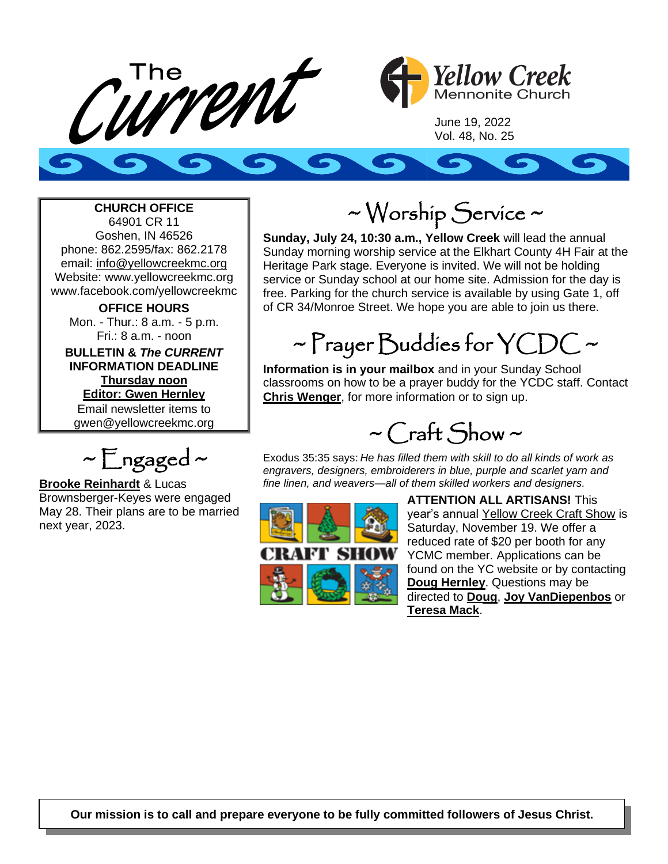



June 19, 2022 Vol. 48, No. 25

### **CHURCH OFFICE**

64901 CR 11 Goshen, IN 46526 phone: 862.2595/fax: 862.2178 email: info@yellowcreekmc.org Website: www.yellowcreekmc.org www.facebook.com/yellowcreekmc

**OFFICE HOURS** Mon. - Thur.: 8 a.m. - 5 p.m. Fri.: 8 a.m. - noon **BULLETIN &** *The CURRENT*

**INFORMATION DEADLINE Thursday noon Editor: Gwen Hernley** Email newsletter items to gwen@yellowcreekmc.org

 $\sim$  Engaged  $\sim$ 

**Brooke Reinhardt** & Lucas Brownsberger-Keyes were engaged May 28. Their plans are to be married next year, 2023.

## ~ Worship Service ~

**Sunday, July 24, 10:30 a.m., Yellow Creek** will lead the annual Sunday morning worship service at the Elkhart County 4H Fair at the Heritage Park stage. Everyone is invited. We will not be holding service or Sunday school at our home site. Admission for the day is free. Parking for the church service is available by using Gate 1, off of CR 34/Monroe Street. We hope you are able to join us there.

# $\sim$  Prayer Buddies for YCDC  $\sim$

**Information is in your mailbox** and in your Sunday School classrooms on how to be a prayer buddy for the YCDC staff. Contact **Chris Wenger**, for more information or to sign up.

 $\sim$  Craft Show  $\sim$ 

Exodus 35:35 says: *He has filled them with skill to do all kinds of work as engravers, designers, embroiderers in blue, purple and scarlet yarn and fine linen, and weavers—all of them skilled workers and designers.*



**ATTENTION ALL ARTISANS!** This year's annual Yellow Creek Craft Show is Saturday, November 19. We offer a reduced rate of \$20 per booth for any YCMC member. Applications can be found on the YC website or by contacting **Doug Hernley**. Questions may be directed to **Doug**, **Joy VanDiepenbos** or **Teresa Mack**.